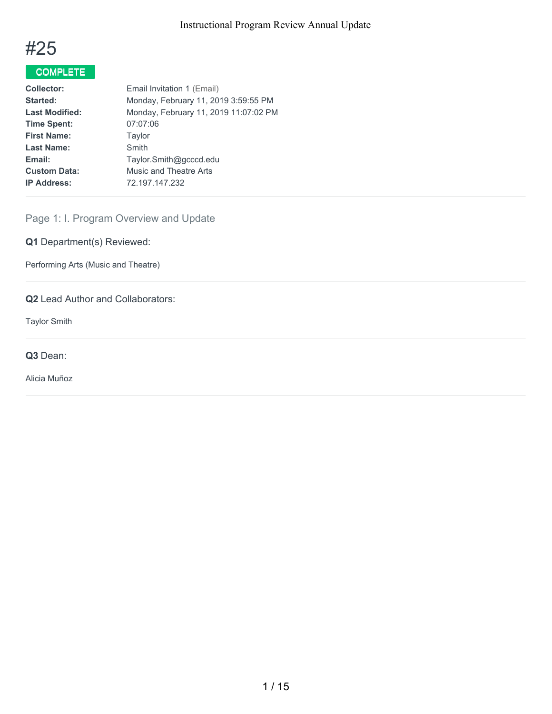

# COMPLETE

| <b>Collector:</b>     | Email Invitation 1 (Email)            |
|-----------------------|---------------------------------------|
| Started:              | Monday, February 11, 2019 3:59:55 PM  |
| <b>Last Modified:</b> | Monday, February 11, 2019 11:07:02 PM |
| <b>Time Spent:</b>    | 07:07:06                              |
| <b>First Name:</b>    | Taylor                                |
| <b>Last Name:</b>     | Smith                                 |
| Email:                | Taylor.Smith@gcccd.edu                |
| <b>Custom Data:</b>   | Music and Theatre Arts                |
| <b>IP Address:</b>    | 72.197.147.232                        |
|                       |                                       |

Page 1: I. Program Overview and Update

**Q1** Department(s) Reviewed:

Performing Arts (Music and Theatre)

**Q2** Lead Author and Collaborators:

Taylor Smith

**Q3** Dean:

Alicia Muñoz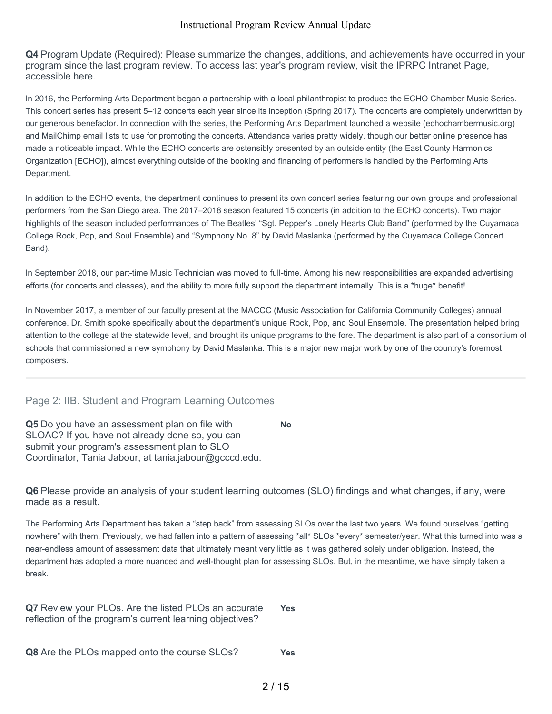**Q4** Program Update (Required): Please summarize the changes, additions, and achievements have occurred in your program since the last program review. To access last year's program review, visit the IPRPC Intranet Page, accessible here.

In 2016, the Performing Arts Department began a partnership with a local philanthropist to produce the ECHO Chamber Music Series. This concert series has present 5–12 concerts each year since its inception (Spring 2017). The concerts are completely underwritten by our generous benefactor. In connection with the series, the Performing Arts Department launched a website (echochambermusic.org) and MailChimp email lists to use for promoting the concerts. Attendance varies pretty widely, though our better online presence has made a noticeable impact. While the ECHO concerts are ostensibly presented by an outside entity (the East County Harmonics Organization [ECHO]), almost everything outside of the booking and financing of performers is handled by the Performing Arts Department.

In addition to the ECHO events, the department continues to present its own concert series featuring our own groups and professional performers from the San Diego area. The 2017–2018 season featured 15 concerts (in addition to the ECHO concerts). Two major highlights of the season included performances of The Beatles' "Sgt. Pepper's Lonely Hearts Club Band" (performed by the Cuyamaca College Rock, Pop, and Soul Ensemble) and "Symphony No. 8" by David Maslanka (performed by the Cuyamaca College Concert Band).

In September 2018, our part-time Music Technician was moved to full-time. Among his new responsibilities are expanded advertising efforts (for concerts and classes), and the ability to more fully support the department internally. This is a \*huge\* benefit!

In November 2017, a member of our faculty present at the MACCC (Music Association for California Community Colleges) annual conference. Dr. Smith spoke specifically about the department's unique Rock, Pop, and Soul Ensemble. The presentation helped bring attention to the college at the statewide level, and brought its unique programs to the fore. The department is also part of a consortium of schools that commissioned a new symphony by David Maslanka. This is a major new major work by one of the country's foremost composers.

## Page 2: IIB. Student and Program Learning Outcomes

**Q5** Do you have an assessment plan on file with SLOAC? If you have not already done so, you can submit your program's assessment plan to SLO Coordinator, Tania Jabour, at tania.jabour@gcccd.edu. **No**

**Q6** Please provide an analysis of your student learning outcomes (SLO) findings and what changes, if any, were made as a result.

The Performing Arts Department has taken a "step back" from assessing SLOs over the last two years. We found ourselves "getting nowhere" with them. Previously, we had fallen into a pattern of assessing \*all\* SLOs \*every\* semester/year. What this turned into was a near-endless amount of assessment data that ultimately meant very little as it was gathered solely under obligation. Instead, the department has adopted a more nuanced and well-thought plan for assessing SLOs. But, in the meantime, we have simply taken a break.

| Q7 Review your PLOs. Are the listed PLOs an accurate<br>reflection of the program's current learning objectives? | Yes |
|------------------------------------------------------------------------------------------------------------------|-----|
| <b>Q8</b> Are the PLOs mapped onto the course SLOs?                                                              | Yes |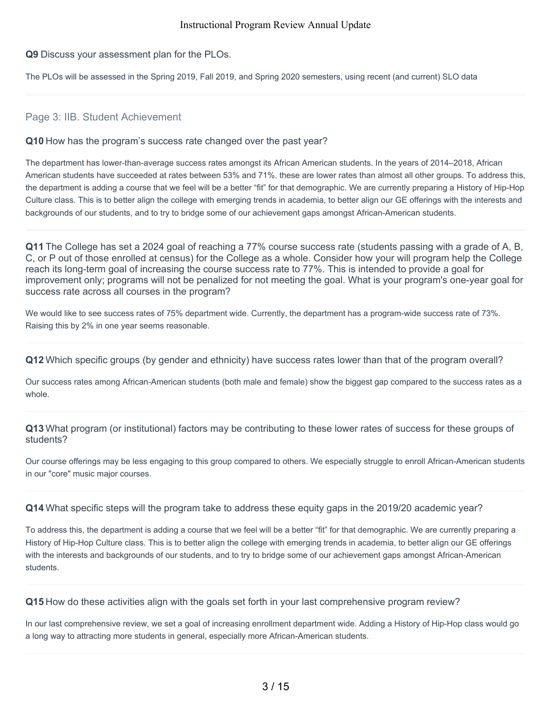#### **Q9** Discuss your assessment plan for the PLOs.

The PLOs will be assessed in the Spring 2019, Fall 2019, and Spring 2020 semesters, using recent (and current) SLO data

#### Page 3: IIB. Student Achievement

#### **Q10** How has the program's success rate changed over the past year?

The department has lower-than-average success rates amongst its African American students. In the years of 2014–2018, African American students have succeeded at rates between 53% and 71%. these are lower rates than almost all other groups. To address this, the department is adding a course that we feel will be a better "fit" for that demographic. We are currently preparing a History of Hip-Hop Culture class. This is to better align the college with emerging trends in academia, to better align our GE offerings with the interests and backgrounds of our students, and to try to bridge some of our achievement gaps amongst African-American students.

**Q11** The College has set a 2024 goal of reaching a 77% course success rate (students passing with a grade of A, B, C, or P out of those enrolled at census) for the College as a whole. Consider how your will program help the College reach its long-term goal of increasing the course success rate to 77%. This is intended to provide a goal for improvement only; programs will not be penalized for not meeting the goal. What is your program's one-year goal for success rate across all courses in the program?

We would like to see success rates of 75% department wide. Currently, the department has a program-wide success rate of 73%. Raising this by 2% in one year seems reasonable.

**Q12** Which specific groups (by gender and ethnicity) have success rates lower than that of the program overall?

Our success rates among African-American students (both male and female) show the biggest gap compared to the success rates as a whole.

**Q13** What program (or institutional) factors may be contributing to these lower rates of success for these groups of students?

Our course offerings may be less engaging to this group compared to others. We especially struggle to enroll African-American students in our "core" music major courses.

**Q14** What specific steps will the program take to address these equity gaps in the 2019/20 academic year?

To address this, the department is adding a course that we feel will be a better "fit" for that demographic. We are currently preparing a History of Hip-Hop Culture class. This is to better align the college with emerging trends in academia, to better align our GE offerings with the interests and backgrounds of our students, and to try to bridge some of our achievement gaps amongst African-American students.

**Q15** How do these activities align with the goals set forth in your last comprehensive program review?

In our last comprehensive review, we set a goal of increasing enrollment department wide. Adding a History of Hip-Hop class would go a long way to attracting more students in general, especially more African-American students.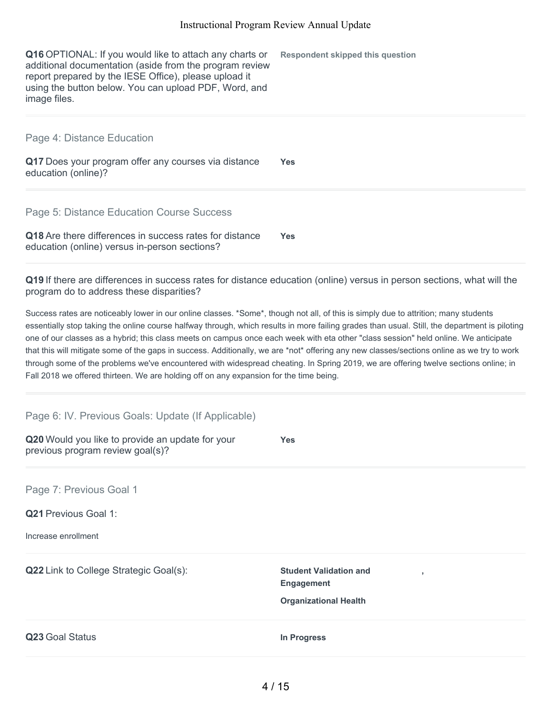**Respondent skipped this question**

**Q16** OPTIONAL: If you would like to attach any charts or additional documentation (aside from the program review report prepared by the IESE Office), please upload it using the button below. You can upload PDF, Word, and image files.

Page 4: Distance Education

**Q17** Does your program offer any courses via distance education (online)? **Yes**

Page 5: Distance Education Course Success

**Q18** Are there differences in success rates for distance education (online) versus in-person sections? **Yes**

**Q19** If there are differences in success rates for distance education (online) versus in person sections, what will the program do to address these disparities?

Success rates are noticeably lower in our online classes. \*Some\*, though not all, of this is simply due to attrition; many students essentially stop taking the online course halfway through, which results in more failing grades than usual. Still, the department is piloting one of our classes as a hybrid; this class meets on campus once each week with eta other "class session" held online. We anticipate that this will mitigate some of the gaps in success. Additionally, we are \*not\* offering any new classes/sections online as we try to work through some of the problems we've encountered with widespread cheating. In Spring 2019, we are offering twelve sections online; in Fall 2018 we offered thirteen. We are holding off on any expansion for the time being.

**Q20** Would you like to provide an update for your previous program review goal(s)? **Yes Q21** Previous Goal 1: Increase enrollment **Q22** Link to College Strategic Goal(s): **Student Validation and Engagement , Organizational Health Q23** Goal Status **In Progress** Page 6: IV. Previous Goals: Update (If Applicable) Page 7: Previous Goal 1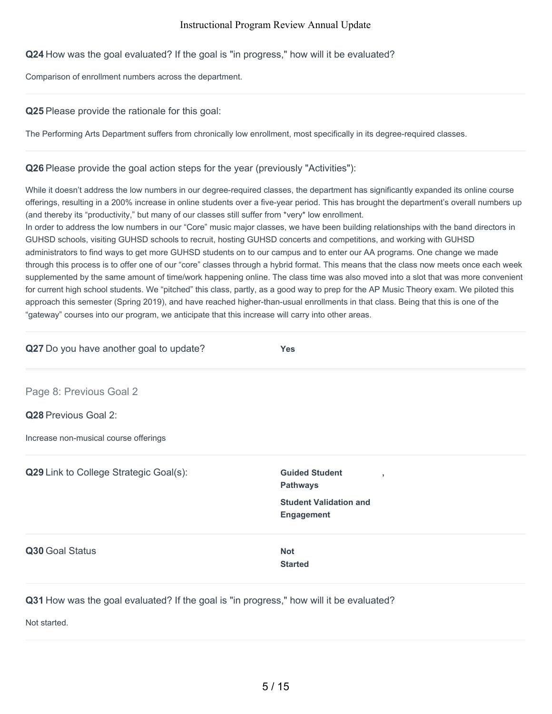## **Q24** How was the goal evaluated? If the goal is "in progress," how will it be evaluated?

Comparison of enrollment numbers across the department.

## **Q25** Please provide the rationale for this goal:

The Performing Arts Department suffers from chronically low enrollment, most specifically in its degree-required classes.

## **Q26** Please provide the goal action steps for the year (previously "Activities"):

While it doesn't address the low numbers in our degree-required classes, the department has significantly expanded its online course offerings, resulting in a 200% increase in online students over a five-year period. This has brought the department's overall numbers up (and thereby its "productivity," but many of our classes still suffer from \*very\* low enrollment.

In order to address the low numbers in our "Core" music major classes, we have been building relationships with the band directors in GUHSD schools, visiting GUHSD schools to recruit, hosting GUHSD concerts and competitions, and working with GUHSD administrators to find ways to get more GUHSD students on to our campus and to enter our AA programs. One change we made through this process is to offer one of our "core" classes through a hybrid format. This means that the class now meets once each week supplemented by the same amount of time/work happening online. The class time was also moved into a slot that was more convenient for current high school students. We "pitched" this class, partly, as a good way to prep for the AP Music Theory exam. We piloted this approach this semester (Spring 2019), and have reached higher-than-usual enrollments in that class. Being that this is one of the "gateway" courses into our program, we anticipate that this increase will carry into other areas.

| Q27 Do you have another goal to update? | <b>Yes</b>                                                 |  |
|-----------------------------------------|------------------------------------------------------------|--|
| Page 8: Previous Goal 2                 |                                                            |  |
| Q28 Previous Goal 2:                    |                                                            |  |
| Increase non-musical course offerings   |                                                            |  |
| Q29 Link to College Strategic Goal(s):  | <b>Guided Student</b><br>$\overline{1}$<br><b>Pathways</b> |  |
|                                         | <b>Student Validation and</b><br><b>Engagement</b>         |  |
| Q30 Goal Status                         | <b>Not</b><br><b>Started</b>                               |  |
|                                         |                                                            |  |

**Q31** How was the goal evaluated? If the goal is "in progress," how will it be evaluated?

Not started.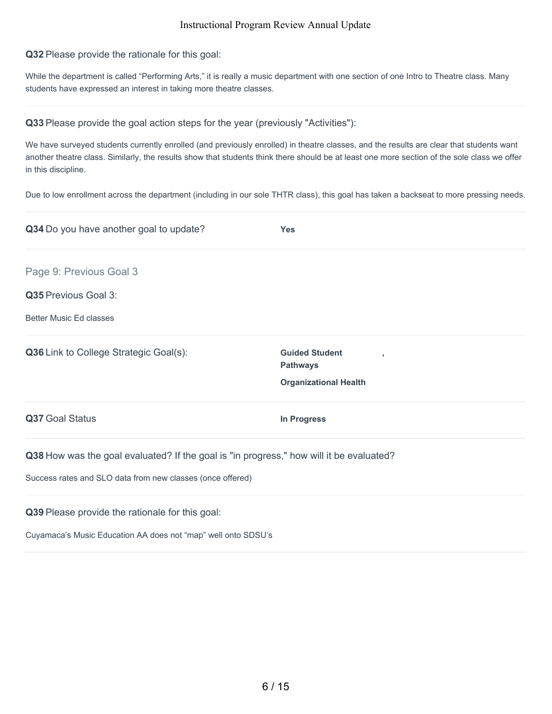#### **Q32** Please provide the rationale for this goal:

While the department is called "Performing Arts," it is really a music department with one section of one Intro to Theatre class. Many students have expressed an interest in taking more theatre classes.

#### **Q33** Please provide the goal action steps for the year (previously "Activities"):

We have surveyed students currently enrolled (and previously enrolled) in theatre classes, and the results are clear that students want another theatre class. Similarly, the results show that students think there should be at least one more section of the sole class we offer in this discipline.

Due to low enrollment across the department (including in our sole THTR class), this goal has taken a backseat to more pressing needs.

| Q34 Do you have another goal to update?                                                                                                 | <b>Yes</b>                                                                    |
|-----------------------------------------------------------------------------------------------------------------------------------------|-------------------------------------------------------------------------------|
| Page 9: Previous Goal 3                                                                                                                 |                                                                               |
| Q35 Previous Goal 3:                                                                                                                    |                                                                               |
| <b>Better Music Ed classes</b>                                                                                                          |                                                                               |
| Q36 Link to College Strategic Goal(s):                                                                                                  | <b>Guided Student</b><br>٠<br><b>Pathways</b><br><b>Organizational Health</b> |
| Q37 Goal Status                                                                                                                         | In Progress                                                                   |
| Q38 How was the goal evaluated? If the goal is "in progress," how will it be evaluated?                                                 |                                                                               |
| Success rates and SLO data from new classes (once offered)                                                                              |                                                                               |
| the contract of the contract of the contract of the contract of the contract of the contract of the contract of<br>$\sim$ $\sim$ $\sim$ |                                                                               |

**Q39** Please provide the rationale for this goal:

Cuyamaca's Music Education AA does not "map" well onto SDSU's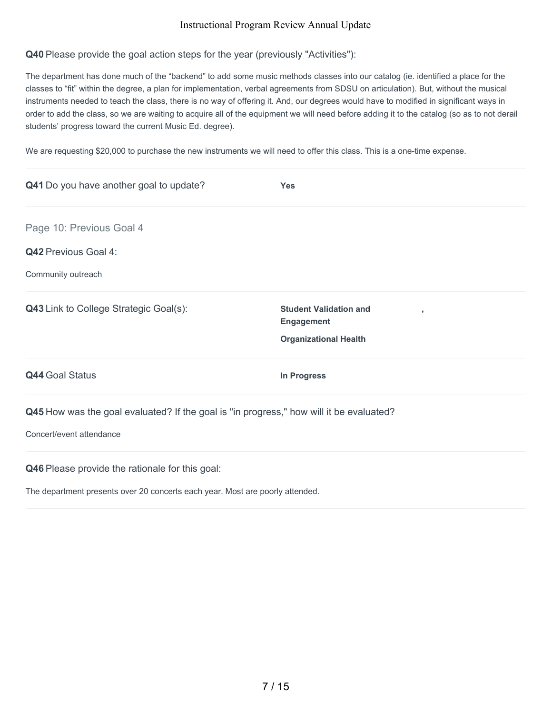## **Q40** Please provide the goal action steps for the year (previously "Activities"):

The department has done much of the "backend" to add some music methods classes into our catalog (ie. identified a place for the classes to "fit" within the degree, a plan for implementation, verbal agreements from SDSU on articulation). But, without the musical instruments needed to teach the class, there is no way of offering it. And, our degrees would have to modified in significant ways in order to add the class, so we are waiting to acquire all of the equipment we will need before adding it to the catalog (so as to not derail students' progress toward the current Music Ed. degree).

We are requesting \$20,000 to purchase the new instruments we will need to offer this class. This is a one-time expense.

| Q41 Do you have another goal to update?                                                 | <b>Yes</b>                                                                              |
|-----------------------------------------------------------------------------------------|-----------------------------------------------------------------------------------------|
| Page 10: Previous Goal 4                                                                |                                                                                         |
| <b>Q42 Previous Goal 4:</b>                                                             |                                                                                         |
| Community outreach                                                                      |                                                                                         |
| <b>Q43</b> Link to College Strategic Goal(s):                                           | <b>Student Validation and</b><br>×<br><b>Engagement</b><br><b>Organizational Health</b> |
| <b>Q44 Goal Status</b>                                                                  | In Progress                                                                             |
| Q45 How was the goal evaluated? If the goal is "in progress," how will it be evaluated? |                                                                                         |
| Concert/event attendance                                                                |                                                                                         |
| Q46 Please provide the rationale for this goal:                                         |                                                                                         |

The department presents over 20 concerts each year. Most are poorly attended.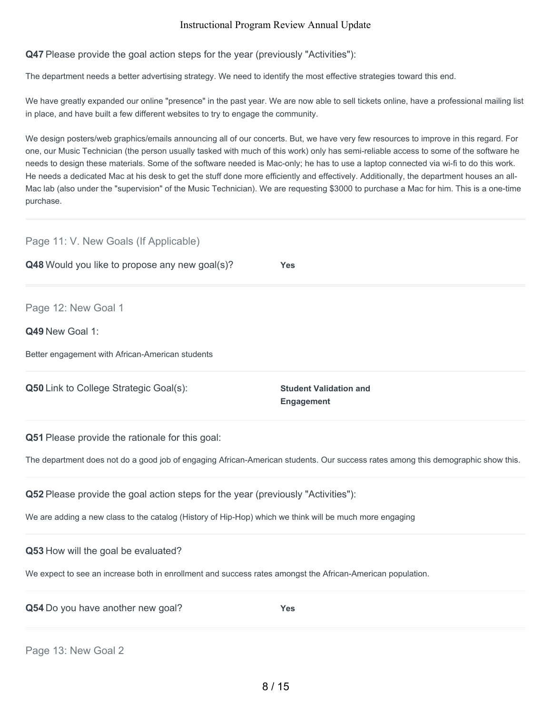**Q47** Please provide the goal action steps for the year (previously "Activities"):

The department needs a better advertising strategy. We need to identify the most effective strategies toward this end.

We have greatly expanded our online "presence" in the past year. We are now able to sell tickets online, have a professional mailing list in place, and have built a few different websites to try to engage the community.

We design posters/web graphics/emails announcing all of our concerts. But, we have very few resources to improve in this regard. For one, our Music Technician (the person usually tasked with much of this work) only has semi-reliable access to some of the software he needs to design these materials. Some of the software needed is Mac-only; he has to use a laptop connected via wi-fi to do this work. He needs a dedicated Mac at his desk to get the stuff done more efficiently and effectively. Additionally, the department houses an all-Mac lab (also under the "supervision" of the Music Technician). We are requesting \$3000 to purchase a Mac for him. This is a one-time purchase.

| Page 11: V. New Goals (If Applicable)                                                                      |                                                                                                                                  |
|------------------------------------------------------------------------------------------------------------|----------------------------------------------------------------------------------------------------------------------------------|
| Q48 Would you like to propose any new goal(s)?                                                             | <b>Yes</b>                                                                                                                       |
| Page 12: New Goal 1                                                                                        |                                                                                                                                  |
| Q49 New Goal 1:                                                                                            |                                                                                                                                  |
| Better engagement with African-American students                                                           |                                                                                                                                  |
| Q50 Link to College Strategic Goal(s):                                                                     | <b>Student Validation and</b><br><b>Engagement</b>                                                                               |
| Q51 Please provide the rationale for this goal:                                                            |                                                                                                                                  |
|                                                                                                            | The department does not do a good job of engaging African-American students. Our success rates among this demographic show this. |
| Q52 Please provide the goal action steps for the year (previously "Activities"):                           |                                                                                                                                  |
| We are adding a new class to the catalog (History of Hip-Hop) which we think will be much more engaging    |                                                                                                                                  |
| Q53 How will the goal be evaluated?                                                                        |                                                                                                                                  |
| We expect to see an increase both in enrollment and success rates amongst the African-American population. |                                                                                                                                  |
| Q54 Do you have another new goal?                                                                          | <b>Yes</b>                                                                                                                       |
|                                                                                                            |                                                                                                                                  |

Page 13: New Goal 2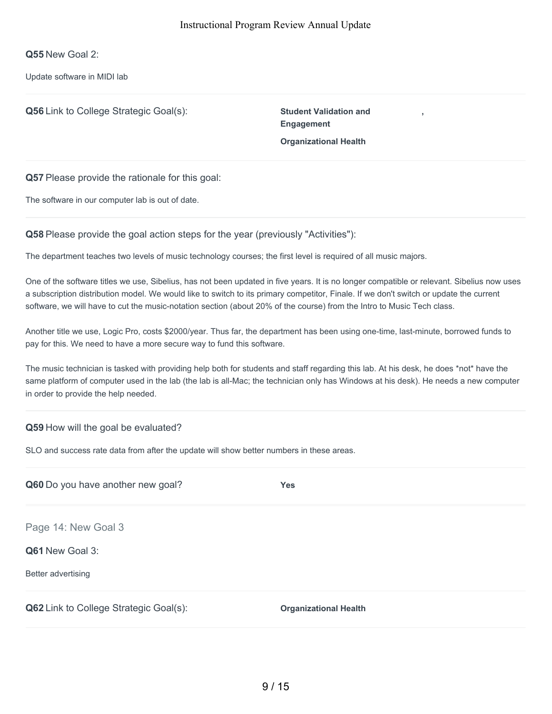**Q55** New Goal 2:

Update software in MIDI lab

**Q56** Link to College Strategic Goal(s): **Student Validation and**

**Engagement Organizational Health**

**,**

**Q57** Please provide the rationale for this goal:

The software in our computer lab is out of date.

**Q58** Please provide the goal action steps for the year (previously "Activities"):

The department teaches two levels of music technology courses; the first level is required of all music majors.

One of the software titles we use, Sibelius, has not been updated in five years. It is no longer compatible or relevant. Sibelius now uses a subscription distribution model. We would like to switch to its primary competitor, Finale. If we don't switch or update the current software, we will have to cut the music-notation section (about 20% of the course) from the Intro to Music Tech class.

Another title we use, Logic Pro, costs \$2000/year. Thus far, the department has been using one-time, last-minute, borrowed funds to pay for this. We need to have a more secure way to fund this software.

The music technician is tasked with providing help both for students and staff regarding this lab. At his desk, he does \*not\* have the same platform of computer used in the lab (the lab is all-Mac; the technician only has Windows at his desk). He needs a new computer in order to provide the help needed.

#### **Q59** How will the goal be evaluated?

SLO and success rate data from after the update will show better numbers in these areas.

| Q60 Do you have another new goal?             | Yes                          |
|-----------------------------------------------|------------------------------|
| Page 14: New Goal 3                           |                              |
| Q61 New Goal 3:                               |                              |
| Better advertising                            |                              |
| <b>Q62</b> Link to College Strategic Goal(s): | <b>Organizational Health</b> |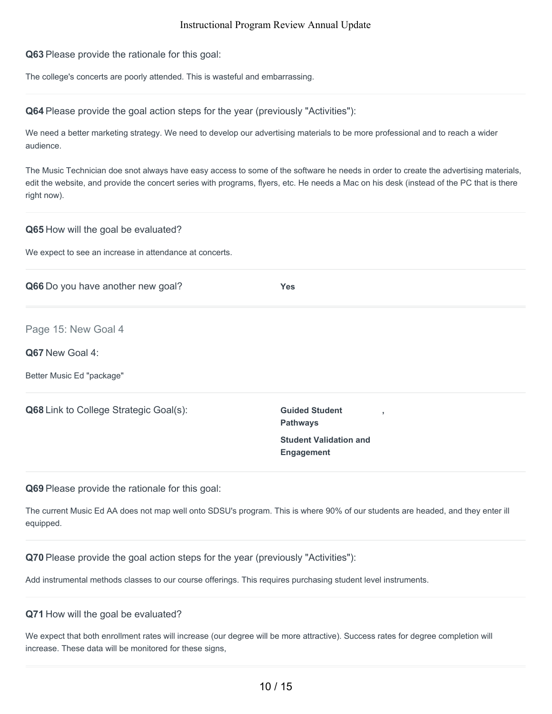**Q63** Please provide the rationale for this goal:

The college's concerts are poorly attended. This is wasteful and embarrassing.

**Q64** Please provide the goal action steps for the year (previously "Activities"):

We need a better marketing strategy. We need to develop our advertising materials to be more professional and to reach a wider audience.

The Music Technician doe snot always have easy access to some of the software he needs in order to create the advertising materials, edit the website, and provide the concert series with programs, flyers, etc. He needs a Mac on his desk (instead of the PC that is there right now).

#### **Q65** How will the goal be evaluated?

We expect to see an increase in attendance at concerts.

| Q66 Do you have another new goal?             | <b>Yes</b>                                                           |
|-----------------------------------------------|----------------------------------------------------------------------|
| Page 15: New Goal 4                           |                                                                      |
| Q67 New Goal 4:                               |                                                                      |
| Better Music Ed "package"                     |                                                                      |
| <b>Q68</b> Link to College Strategic Goal(s): | <b>Guided Student</b><br>$\overline{\phantom{a}}$<br><b>Pathways</b> |
|                                               | <b>Student Validation and</b><br><b>Engagement</b>                   |

**Q69** Please provide the rationale for this goal:

The current Music Ed AA does not map well onto SDSU's program. This is where 90% of our students are headed, and they enter ill equipped.

**Q70** Please provide the goal action steps for the year (previously "Activities"):

Add instrumental methods classes to our course offerings. This requires purchasing student level instruments.

#### **Q71** How will the goal be evaluated?

We expect that both enrollment rates will increase (our degree will be more attractive). Success rates for degree completion will increase. These data will be monitored for these signs,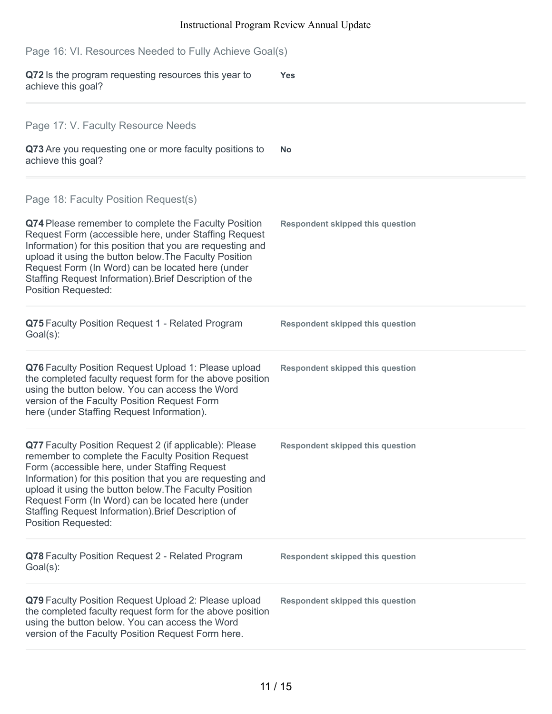| Page 16: VI. Resources Needed to Fully Achieve Goal(s)                                                                                                                                                                                                                                                                                                                                                                         |                                         |  |
|--------------------------------------------------------------------------------------------------------------------------------------------------------------------------------------------------------------------------------------------------------------------------------------------------------------------------------------------------------------------------------------------------------------------------------|-----------------------------------------|--|
| Q72 Is the program requesting resources this year to<br>achieve this goal?                                                                                                                                                                                                                                                                                                                                                     | <b>Yes</b>                              |  |
| Page 17: V. Faculty Resource Needs                                                                                                                                                                                                                                                                                                                                                                                             |                                         |  |
| Q73 Are you requesting one or more faculty positions to<br>achieve this goal?                                                                                                                                                                                                                                                                                                                                                  | No                                      |  |
| Page 18: Faculty Position Request(s)                                                                                                                                                                                                                                                                                                                                                                                           |                                         |  |
| Q74 Please remember to complete the Faculty Position<br>Request Form (accessible here, under Staffing Request<br>Information) for this position that you are requesting and<br>upload it using the button below. The Faculty Position<br>Request Form (In Word) can be located here (under<br>Staffing Request Information). Brief Description of the<br><b>Position Requested:</b>                                            | <b>Respondent skipped this question</b> |  |
| Q75 Faculty Position Request 1 - Related Program<br>Goal(s):                                                                                                                                                                                                                                                                                                                                                                   | <b>Respondent skipped this question</b> |  |
| Q76 Faculty Position Request Upload 1: Please upload<br>the completed faculty request form for the above position<br>using the button below. You can access the Word<br>version of the Faculty Position Request Form<br>here (under Staffing Request Information).                                                                                                                                                             | <b>Respondent skipped this question</b> |  |
| Q77 Faculty Position Request 2 (if applicable): Please<br>remember to complete the Faculty Position Request<br>Form (accessible here, under Staffing Request<br>Information) for this position that you are requesting and<br>upload it using the button below. The Faculty Position<br>Request Form (In Word) can be located here (under<br>Staffing Request Information). Brief Description of<br><b>Position Requested:</b> | <b>Respondent skipped this question</b> |  |
| Q78 Faculty Position Request 2 - Related Program<br>$Goal(s)$ :                                                                                                                                                                                                                                                                                                                                                                | <b>Respondent skipped this question</b> |  |
| Q79 Faculty Position Request Upload 2: Please upload<br>the completed faculty request form for the above position<br>using the button below. You can access the Word<br>version of the Faculty Position Request Form here.                                                                                                                                                                                                     | <b>Respondent skipped this question</b> |  |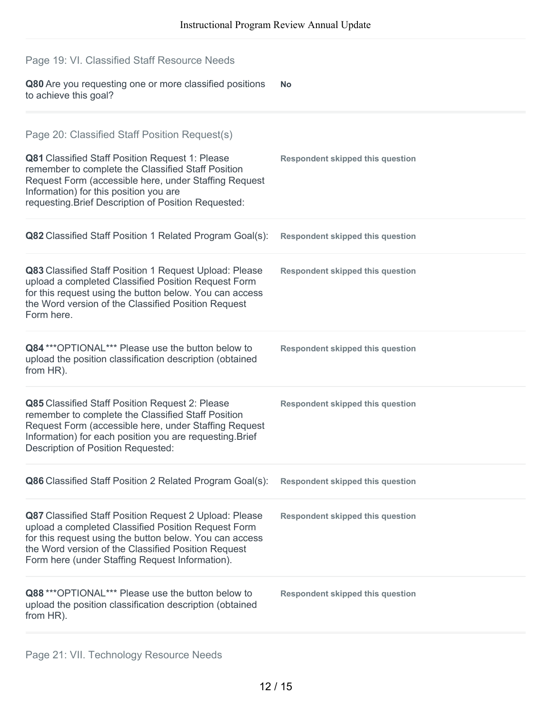| Page 19: VI. Classified Staff Resource Needs                                                                                                                                                                                                                                       |                                         |
|------------------------------------------------------------------------------------------------------------------------------------------------------------------------------------------------------------------------------------------------------------------------------------|-----------------------------------------|
| Q80 Are you requesting one or more classified positions<br>to achieve this goal?                                                                                                                                                                                                   | <b>No</b>                               |
| Page 20: Classified Staff Position Request(s)                                                                                                                                                                                                                                      |                                         |
| Q81 Classified Staff Position Request 1: Please<br>remember to complete the Classified Staff Position<br>Request Form (accessible here, under Staffing Request<br>Information) for this position you are<br>requesting. Brief Description of Position Requested:                   | <b>Respondent skipped this question</b> |
| Q82 Classified Staff Position 1 Related Program Goal(s):                                                                                                                                                                                                                           | <b>Respondent skipped this question</b> |
| Q83 Classified Staff Position 1 Request Upload: Please<br>upload a completed Classified Position Request Form<br>for this request using the button below. You can access<br>the Word version of the Classified Position Request<br>Form here.                                      | <b>Respondent skipped this question</b> |
| Q84 *** OPTIONAL*** Please use the button below to<br>upload the position classification description (obtained<br>from HR).                                                                                                                                                        | <b>Respondent skipped this question</b> |
| Q85 Classified Staff Position Request 2: Please<br>remember to complete the Classified Staff Position<br>Request Form (accessible here, under Staffing Request<br>Information) for each position you are requesting. Brief<br>Description of Position Requested:                   | <b>Respondent skipped this question</b> |
| Q86 Classified Staff Position 2 Related Program Goal(s):                                                                                                                                                                                                                           | <b>Respondent skipped this question</b> |
| Q87 Classified Staff Position Request 2 Upload: Please<br>upload a completed Classified Position Request Form<br>for this request using the button below. You can access<br>the Word version of the Classified Position Request<br>Form here (under Staffing Request Information). | <b>Respondent skipped this question</b> |
| Q88 *** OPTIONAL*** Please use the button below to<br>upload the position classification description (obtained<br>from HR).                                                                                                                                                        | <b>Respondent skipped this question</b> |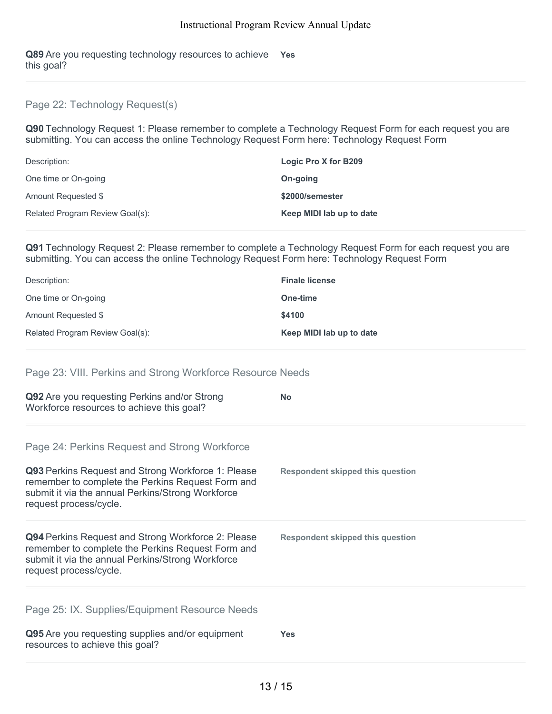**Q89** Are you requesting technology resources to achieve **Yes** this goal?

## Page 22: Technology Request(s)

**Q90** Technology Request 1: Please remember to complete a Technology Request Form for each request you are submitting. You can access the online Technology Request Form here: Technology Request Form

| Description:                    | Logic Pro X for B209     |
|---------------------------------|--------------------------|
| One time or On-going            | On-going                 |
| Amount Requested \$             | \$2000/semester          |
| Related Program Review Goal(s): | Keep MIDI lab up to date |

**Q91** Technology Request 2: Please remember to complete a Technology Request Form for each request you are submitting. You can access the online Technology Request Form here: Technology Request Form

| Description:                    | <b>Finale license</b>    |
|---------------------------------|--------------------------|
| One time or On-going            | One-time                 |
| Amount Requested \$             | \$4100                   |
| Related Program Review Goal(s): | Keep MIDI lab up to date |

#### Page 23: VIII. Perkins and Strong Workforce Resource Needs

| Q92 Are you requesting Perkins and/or Strong<br>Workforce resources to achieve this goal?                                                                                                                                               | <b>No</b>                               |
|-----------------------------------------------------------------------------------------------------------------------------------------------------------------------------------------------------------------------------------------|-----------------------------------------|
| Page 24: Perkins Request and Strong Workforce<br>Q93 Perkins Request and Strong Workforce 1: Please<br>remember to complete the Perkins Request Form and<br>submit it via the annual Perkins/Strong Workforce<br>request process/cycle. | <b>Respondent skipped this question</b> |
| Q94 Perkins Request and Strong Workforce 2: Please<br>remember to complete the Perkins Request Form and<br>submit it via the annual Perkins/Strong Workforce<br>request process/cycle.                                                  | <b>Respondent skipped this question</b> |
| Page 25: IX. Supplies/Equipment Resource Needs<br>Q95 Are you requesting supplies and/or equipment                                                                                                                                      | <b>Yes</b>                              |

resources to achieve this goal?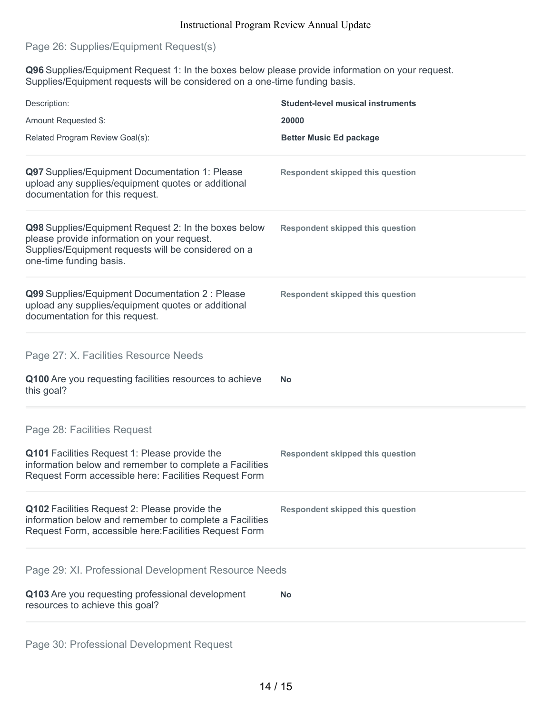## Page 26: Supplies/Equipment Request(s)

**Q96** Supplies/Equipment Request 1: In the boxes below please provide information on your request. Supplies/Equipment requests will be considered on a one-time funding basis.

| Description:                                                                                                                                                                                     | <b>Student-level musical instruments</b> |
|--------------------------------------------------------------------------------------------------------------------------------------------------------------------------------------------------|------------------------------------------|
| Amount Requested \$:                                                                                                                                                                             | 20000                                    |
| Related Program Review Goal(s):                                                                                                                                                                  | <b>Better Music Ed package</b>           |
| Q97 Supplies/Equipment Documentation 1: Please<br>upload any supplies/equipment quotes or additional<br>documentation for this request.                                                          | <b>Respondent skipped this question</b>  |
| Q98 Supplies/Equipment Request 2: In the boxes below<br>please provide information on your request.<br>Supplies/Equipment requests will be considered on a<br>one-time funding basis.            | <b>Respondent skipped this question</b>  |
| Q99 Supplies/Equipment Documentation 2 : Please<br>upload any supplies/equipment quotes or additional<br>documentation for this request.                                                         | <b>Respondent skipped this question</b>  |
| Page 27: X. Facilities Resource Needs<br>Q100 Are you requesting facilities resources to achieve<br>this goal?                                                                                   | No                                       |
| Page 28: Facilities Request<br>Q101 Facilities Request 1: Please provide the<br>information below and remember to complete a Facilities<br>Request Form accessible here: Facilities Request Form | <b>Respondent skipped this question</b>  |
| Q102 Facilities Request 2: Please provide the<br>information below and remember to complete a Facilities<br>Request Form, accessible here: Facilities Request Form                               | <b>Respondent skipped this question</b>  |
| Page 29: XI. Professional Development Resource Needs<br>Q103 Are you requesting professional development                                                                                         | <b>No</b>                                |
| resources to achieve this goal?                                                                                                                                                                  |                                          |

Page 30: Professional Development Request